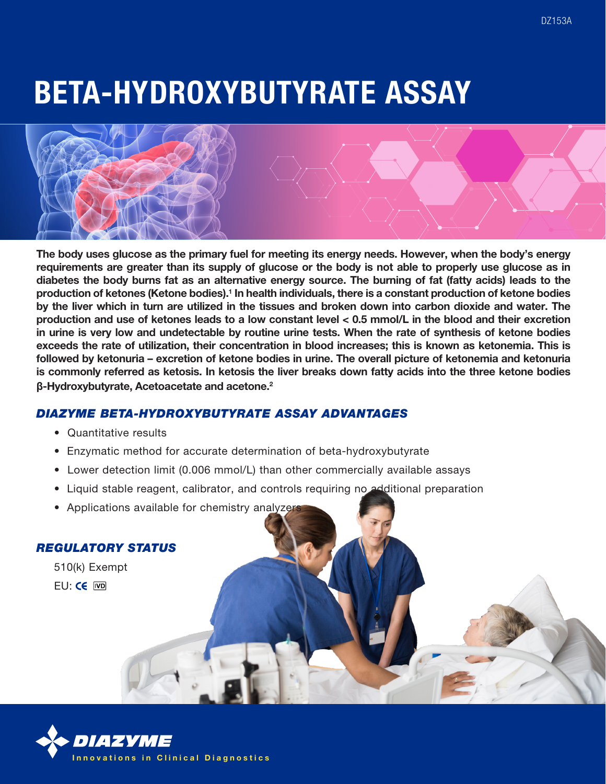# BETA-HYDROXYBUTYRATE ASSAY



The body uses glucose as the primary fuel for meeting its energy needs. However, when the body's energy requirements are greater than its supply of glucose or the body is not able to properly use glucose as in diabetes the body burns fat as an alternative energy source. The burning of fat (fatty acids) leads to the production of ketones (Ketone bodies).<sup>1</sup> In health individuals, there is a constant production of ketone bodies by the liver which in turn are utilized in the tissues and broken down into carbon dioxide and water. The production and use of ketones leads to a low constant level < 0.5 mmol/L in the blood and their excretion in urine is very low and undetectable by routine urine tests. When the rate of synthesis of ketone bodies exceeds the rate of utilization, their concentration in blood increases; this is known as ketonemia. This is followed by ketonuria – excretion of ketone bodies in urine. The overall picture of ketonemia and ketonuria is commonly referred as ketosis. In ketosis the liver breaks down fatty acids into the three ketone bodies **β**-Hydroxybutyrate, Acetoacetate and acetone.2

# *DIAZYME BETA-HYDROXYBUTYRATE ASSAY ADVANTAGES*

- Quantitative results
- Enzymatic method for accurate determination of beta-hydroxybutyrate
- Lower detection limit (0.006 mmol/L) than other commercially available assays
- Liquid stable reagent, calibrator, and controls requiring no additional preparation
- Applications available for chemistry analyzer

#### *REGULATORY STATUS*

510(k) Exempt FU: CE IVD